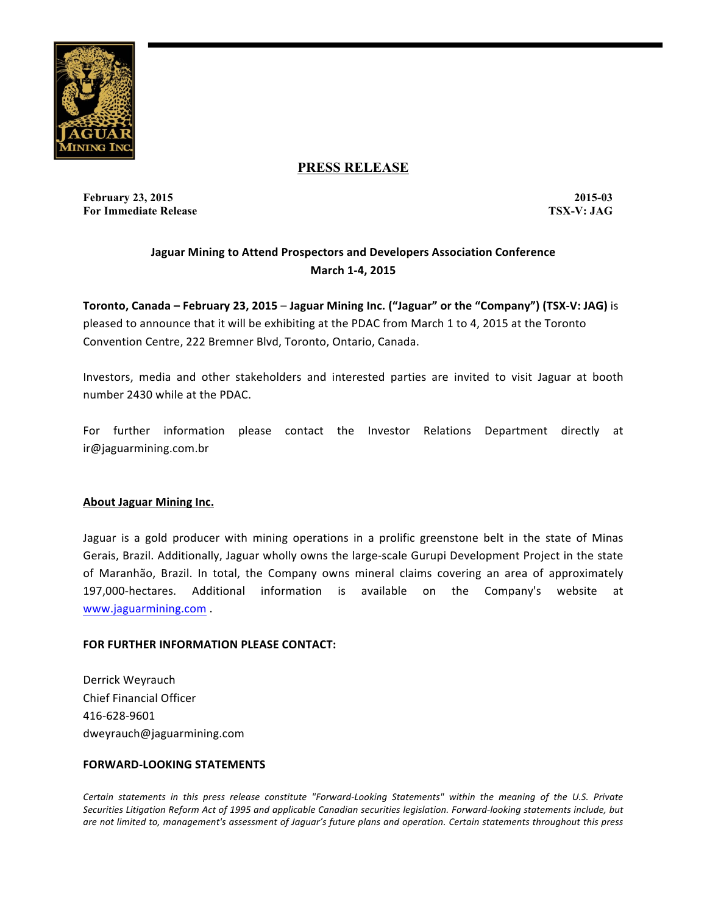

## **PRESS RELEASE**

**February 23, 2015 2015-03 For Immediate Release TSX-V: JAG**

# **Jaguar Mining to Attend Prospectors and Developers Association Conference March 1-4, 2015**

**Toronto, Canada – February 23, 2015 – Jaguar Mining Inc. ("Jaguar" or the "Company") (TSX-V: JAG)** is pleased to announce that it will be exhibiting at the PDAC from March 1 to 4, 2015 at the Toronto Convention Centre, 222 Bremner Blvd, Toronto, Ontario, Canada.

Investors, media and other stakeholders and interested parties are invited to visit Jaguar at booth number 2430 while at the PDAC.

For further information please contact the Investor Relations Department directly at ir@jaguarmining.com.br

### **About Jaguar Mining Inc.**

Jaguar is a gold producer with mining operations in a prolific greenstone belt in the state of Minas Gerais, Brazil. Additionally, Jaguar wholly owns the large-scale Gurupi Development Project in the state of Maranhão, Brazil. In total, the Company owns mineral claims covering an area of approximately 197,000-hectares. Additional information is available on the Company's website at www.jaguarmining.com .

### **FOR FURTHER INFORMATION PLEASE CONTACT:**

Derrick Weyrauch Chief Financial Officer 416-628-9601 dweyrauch@jaguarmining.com

#### **FORWARD-LOOKING STATEMENTS**

Certain statements in this press release constitute "Forward-Looking Statements" within the meaning of the U.S. Private Securities Litigation Reform Act of 1995 and applicable Canadian securities legislation. Forward-looking statements include, but are not limited to, management's assessment of Jaguar's future plans and operation. Certain statements throughout this press